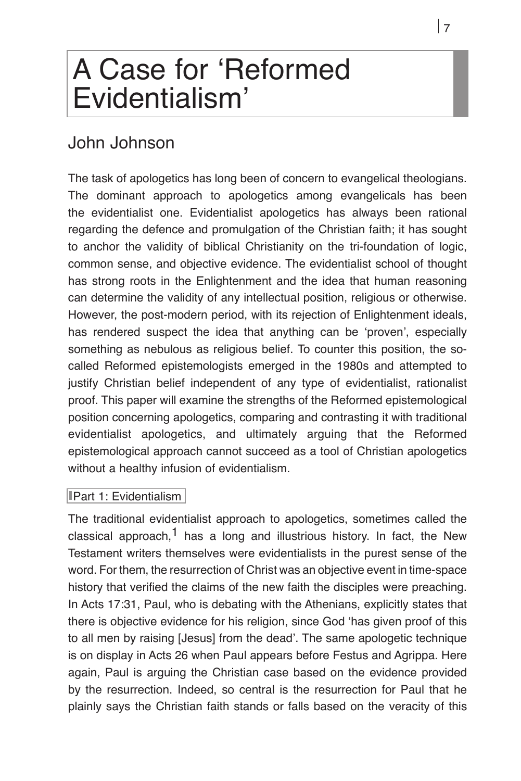# **A Case for ʻReformed Evidentialism'**

## John Johnson

The task of apologetics has long been of concern to evangelical theologians. The dominant approach to apologetics among evangelicals has been the evidentialist one. Evidentialist apologetics has always been rational regarding the defence and promulgation of the Christian faith; it has sought to anchor the validity of biblical Christianity on the tri-foundation of logic, common sense, and objective evidence. The evidentialist school of thought has strong roots in the Enlightenment and the idea that human reasoning can determine the validity of any intellectual position, religious or otherwise. However, the post-modern period, with its rejection of Enlightenment ideals, has rendered suspect the idea that anything can be ʻproven', especially something as nebulous as religious belief. To counter this position, the socalled Reformed epistemologists emerged in the 1980s and attempted to justify Christian belief independent of any type of evidentialist, rationalist proof. This paper will examine the strengths of the Reformed epistemological position concerning apologetics, comparing and contrasting it with traditional evidentialist apologetics, and ultimately arguing that the Reformed epistemological approach cannot succeed as a tool of Christian apologetics without a healthy infusion of evidentialism.

#### Part 1: Evidentialism

The traditional evidentialist approach to apologetics, sometimes called the classical approach,<sup>1</sup> has a long and illustrious history. In fact, the New Testament writers themselves were evidentialists in the purest sense of the word. For them, the resurrection of Christ was an objective event in time-space history that verified the claims of the new faith the disciples were preaching. In Acts 17:31, Paul, who is debating with the Athenians, explicitly states that there is objective evidence for his religion, since God ʻhas given proof of this to all men by raising [Jesus] from the dead'. The same apologetic technique is on display in Acts 26 when Paul appears before Festus and Agrippa. Here again, Paul is arguing the Christian case based on the evidence provided by the resurrection. Indeed, so central is the resurrection for Paul that he plainly says the Christian faith stands or falls based on the veracity of this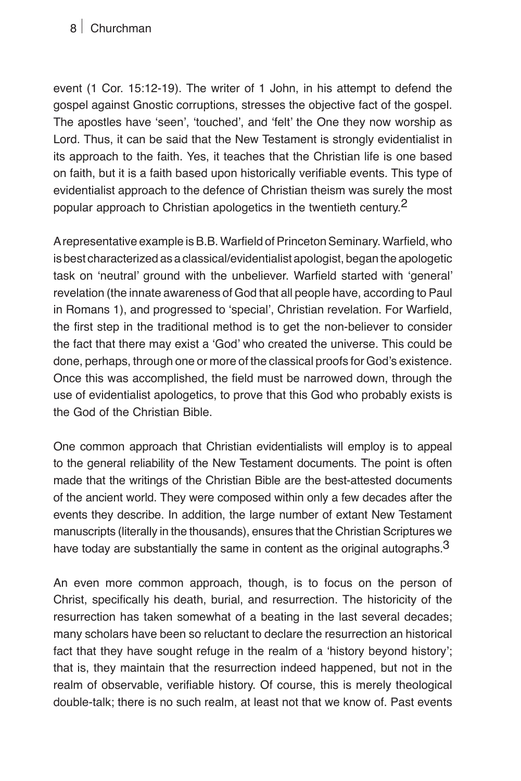#### **8** Churchman

event (1 Cor. 15:12-19). The writer of 1 John, in his attempt to defend the gospel against Gnostic corruptions, stresses the objective fact of the gospel. The apostles have ʻseen', ʻtouched', and ʻfelt' the One they now worship as Lord. Thus, it can be said that the New Testament is strongly evidentialist in its approach to the faith. Yes, it teaches that the Christian life is one based on faith, but it is a faith based upon historically verifiable events. This type of evidentialist approach to the defence of Christian theism was surely the most popular approach to Christian apologetics in the twentieth century.<sup>2</sup>

A representative example is B.B. Warfield of Princeton Seminary. Warfield, who is best characterized as a classical/evidentialist apologist, began the apologetic task on ʻneutral' ground with the unbeliever. Warfield started with ʻgeneral' revelation (the innate awareness of God that all people have, according to Paul in Romans 1), and progressed to ʻspecial', Christian revelation. For Warfield, the first step in the traditional method is to get the non-believer to consider the fact that there may exist a ʻGod' who created the universe. This could be done, perhaps, through one or more of the classical proofs for God's existence. Once this was accomplished, the field must be narrowed down, through the use of evidentialist apologetics, to prove that this God who probably exists is the God of the Christian Bible.

One common approach that Christian evidentialists will employ is to appeal to the general reliability of the New Testament documents. The point is often made that the writings of the Christian Bible are the best-attested documents of the ancient world. They were composed within only a few decades after the events they describe. In addition, the large number of extant New Testament manuscripts (literally in the thousands), ensures that the Christian Scriptures we have today are substantially the same in content as the original autographs. $3$ 

An even more common approach, though, is to focus on the person of Christ, specifically his death, burial, and resurrection. The historicity of the resurrection has taken somewhat of a beating in the last several decades; many scholars have been so reluctant to declare the resurrection an historical fact that they have sought refuge in the realm of a ʻhistory beyond history'; that is, they maintain that the resurrection indeed happened, but not in the realm of observable, verifiable history. Of course, this is merely theological double-talk; there is no such realm, at least not that we know of. Past events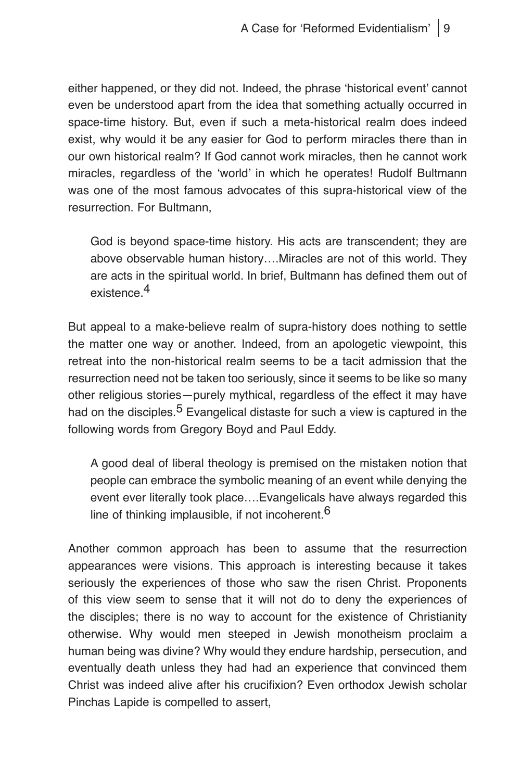either happened, or they did not. Indeed, the phrase ʻhistorical event' cannot even be understood apart from the idea that something actually occurred in space-time history. But, even if such a meta-historical realm does indeed exist, why would it be any easier for God to perform miracles there than in our own historical realm? If God cannot work miracles, then he cannot work miracles, regardless of the ʻworld' in which he operates! Rudolf Bultmann was one of the most famous advocates of this supra-historical view of the resurrection. For Bultmann,

God is beyond space-time history. His acts are transcendent; they are above observable human history….Miracles are not of this world. They are acts in the spiritual world. In brief, Bultmann has defined them out of existence.<sup>4</sup>

But appeal to a make-believe realm of supra-history does nothing to settle the matter one way or another. Indeed, from an apologetic viewpoint, this retreat into the non-historical realm seems to be a tacit admission that the resurrection need not be taken too seriously, since it seems to be like so many other religious stories—purely mythical, regardless of the effect it may have had on the disciples.<sup>5</sup> Evangelical distaste for such a view is captured in the following words from Gregory Boyd and Paul Eddy.

A good deal of liberal theology is premised on the mistaken notion that people can embrace the symbolic meaning of an event while denying the event ever literally took place….Evangelicals have always regarded this line of thinking implausible, if not incoherent.  $6$ 

Another common approach has been to assume that the resurrection appearances were visions. This approach is interesting because it takes seriously the experiences of those who saw the risen Christ. Proponents of this view seem to sense that it will not do to deny the experiences of the disciples; there is no way to account for the existence of Christianity otherwise. Why would men steeped in Jewish monotheism proclaim a human being was divine? Why would they endure hardship, persecution, and eventually death unless they had had an experience that convinced them Christ was indeed alive after his crucifixion? Even orthodox Jewish scholar Pinchas Lapide is compelled to assert,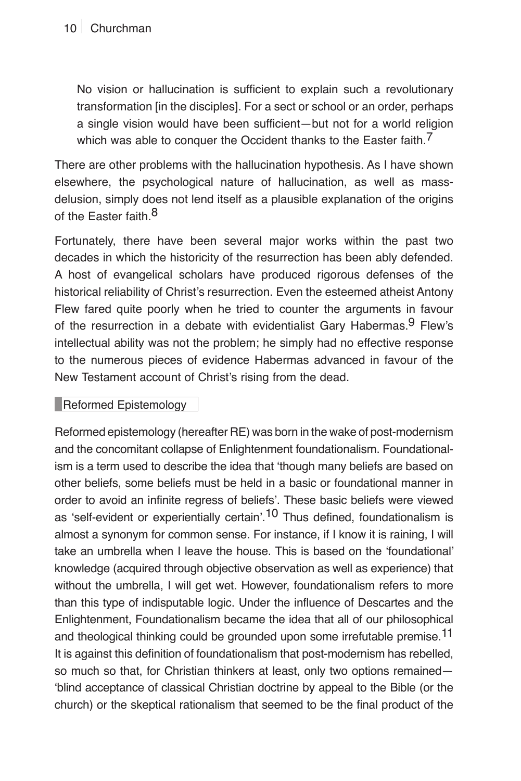No vision or hallucination is sufficient to explain such a revolutionary transformation [in the disciples]. For a sect or school or an order, perhaps a single vision would have been sufficient—but not for a world religion which was able to conquer the Occident thanks to the Easter faith.<sup>7</sup>

There are other problems with the hallucination hypothesis. As I have shown elsewhere, the psychological nature of hallucination, as well as massdelusion, simply does not lend itself as a plausible explanation of the origins of the Easter faith  $8$ 

Fortunately, there have been several major works within the past two decades in which the historicity of the resurrection has been ably defended. A host of evangelical scholars have produced rigorous defenses of the historical reliability of Christ's resurrection. Even the esteemed atheist Antony Flew fared quite poorly when he tried to counter the arguments in favour of the resurrection in a debate with evidentialist Gary Habermas.  $9$  Flew's intellectual ability was not the problem; he simply had no effective response to the numerous pieces of evidence Habermas advanced in favour of the New Testament account of Christ's rising from the dead.

#### Reformed Epistemology

Reformed epistemology (hereafter RE) was born in the wake of post-modernism and the concomitant collapse of Enlightenment foundationalism. Foundationalism is a term used to describe the idea that ʻthough many beliefs are based on other beliefs, some beliefs must be held in a basic or foundational manner in order to avoid an infinite regress of beliefs'. These basic beliefs were viewed as 'self-evident or experientially certain'.<sup>10</sup> Thus defined, foundationalism is almost a synonym for common sense. For instance, if I know it is raining, I will take an umbrella when I leave the house. This is based on the ʻfoundational' knowledge (acquired through objective observation as well as experience) that without the umbrella, I will get wet. However, foundationalism refers to more than this type of indisputable logic. Under the influence of Descartes and the Enlightenment, Foundationalism became the idea that all of our philosophical and theological thinking could be grounded upon some irrefutable premise.<sup>11</sup> It is against this definition of foundationalism that post-modernism has rebelled, so much so that, for Christian thinkers at least, only two options remained— ʻblind acceptance of classical Christian doctrine by appeal to the Bible (or the church) or the skeptical rationalism that seemed to be the final product of the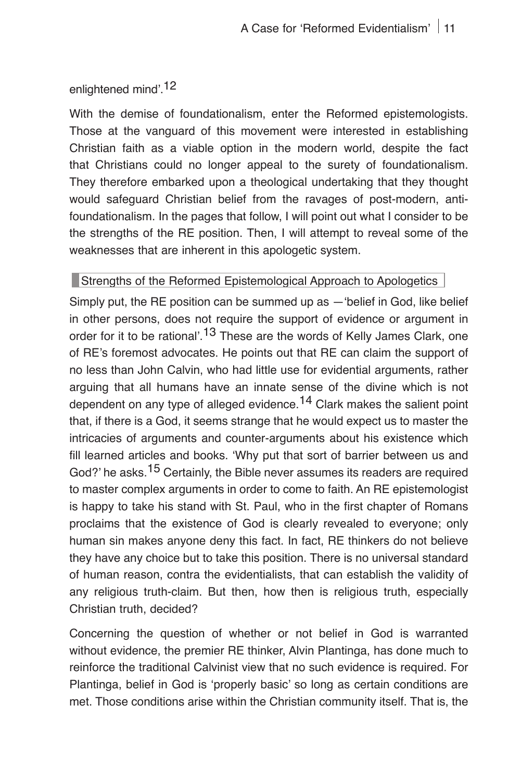## enlightened mind'.12

With the demise of foundationalism, enter the Reformed epistemologists. Those at the vanguard of this movement were interested in establishing Christian faith as a viable option in the modern world, despite the fact that Christians could no longer appeal to the surety of foundationalism. They therefore embarked upon a theological undertaking that they thought would safeguard Christian belief from the ravages of post-modern, antifoundationalism. In the pages that follow, I will point out what I consider to be the strengths of the RE position. Then, I will attempt to reveal some of the weaknesses that are inherent in this apologetic system.

#### Strengths of the Reformed Epistemological Approach to Apologetics

Simply put, the RE position can be summed up as —ʻbelief in God, like belief in other persons, does not require the support of evidence or argument in order for it to be rational'.<sup>13</sup> These are the words of Kelly James Clark, one of RE's foremost advocates. He points out that RE can claim the support of no less than John Calvin, who had little use for evidential arguments, rather arguing that all humans have an innate sense of the divine which is not dependent on any type of alleged evidence.<sup>14</sup> Clark makes the salient point that, if there is a God, it seems strange that he would expect us to master the intricacies of arguments and counter-arguments about his existence which fill learned articles and books. ʻWhy put that sort of barrier between us and God?' he asks.<sup>15</sup> Certainly, the Bible never assumes its readers are required to master complex arguments in order to come to faith. An RE epistemologist is happy to take his stand with St. Paul, who in the first chapter of Romans proclaims that the existence of God is clearly revealed to everyone; only human sin makes anyone deny this fact. In fact, RE thinkers do not believe they have any choice but to take this position. There is no universal standard of human reason, contra the evidentialists, that can establish the validity of any religious truth-claim. But then, how then is religious truth, especially Christian truth, decided?

Concerning the question of whether or not belief in God is warranted without evidence, the premier RE thinker, Alvin Plantinga, has done much to reinforce the traditional Calvinist view that no such evidence is required. For Plantinga, belief in God is ʻproperly basic' so long as certain conditions are met. Those conditions arise within the Christian community itself. That is, the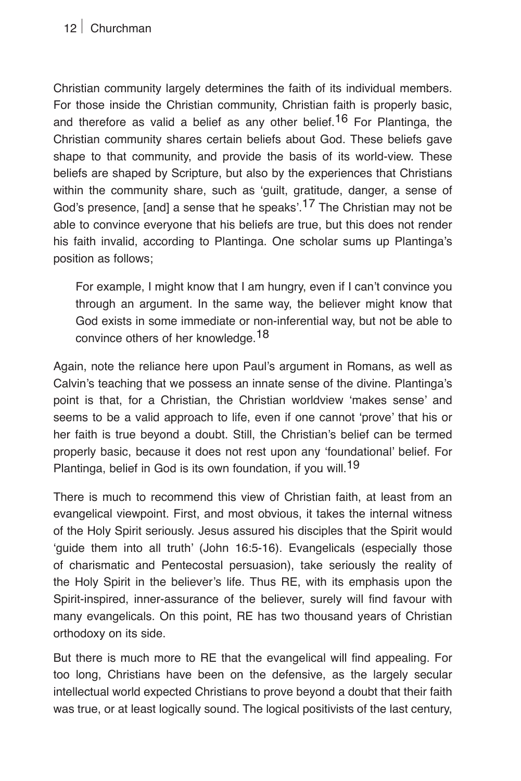#### **12** Churchman

Christian community largely determines the faith of its individual members. For those inside the Christian community, Christian faith is properly basic, and therefore as valid a belief as any other belief.<sup>16</sup> For Plantinga, the Christian community shares certain beliefs about God. These beliefs gave shape to that community, and provide the basis of its world-view. These beliefs are shaped by Scripture, but also by the experiences that Christians within the community share, such as ʻguilt, gratitude, danger, a sense of God's presence. [and] a sense that he speaks'.<sup>17</sup> The Christian may not be able to convince everyone that his beliefs are true, but this does not render his faith invalid, according to Plantinga. One scholar sums up Plantinga's position as follows;

For example, I might know that I am hungry, even if I can't convince you through an argument. In the same way, the believer might know that God exists in some immediate or non-inferential way, but not be able to convince others of her knowledge.<sup>18</sup>

Again, note the reliance here upon Paul's argument in Romans, as well as Calvin's teaching that we possess an innate sense of the divine. Plantinga's point is that, for a Christian, the Christian worldview ʻmakes sense' and seems to be a valid approach to life, even if one cannot ʻprove' that his or her faith is true beyond a doubt. Still, the Christian's belief can be termed properly basic, because it does not rest upon any ʻfoundational' belief. For Plantinga, belief in God is its own foundation, if you will.<sup>19</sup>

There is much to recommend this view of Christian faith, at least from an evangelical viewpoint. First, and most obvious, it takes the internal witness of the Holy Spirit seriously. Jesus assured his disciples that the Spirit would ʻguide them into all truth' (John 16:5-16). Evangelicals (especially those of charismatic and Pentecostal persuasion), take seriously the reality of the Holy Spirit in the believer's life. Thus RE, with its emphasis upon the Spirit-inspired, inner-assurance of the believer, surely will find favour with many evangelicals. On this point, RE has two thousand years of Christian orthodoxy on its side.

But there is much more to RE that the evangelical will find appealing. For too long, Christians have been on the defensive, as the largely secular intellectual world expected Christians to prove beyond a doubt that their faith was true, or at least logically sound. The logical positivists of the last century,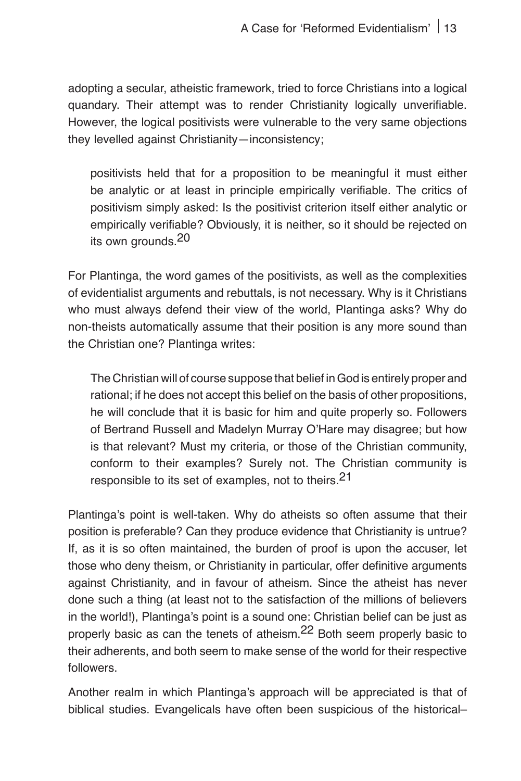adopting a secular, atheistic framework, tried to force Christians into a logical quandary. Their attempt was to render Christianity logically unverifiable. However, the logical positivists were vulnerable to the very same objections they levelled against Christianity—inconsistency;

positivists held that for a proposition to be meaningful it must either be analytic or at least in principle empirically verifiable. The critics of positivism simply asked: Is the positivist criterion itself either analytic or empirically verifiable? Obviously, it is neither, so it should be rejected on its own grounds.<sup>20</sup>

For Plantinga, the word games of the positivists, as well as the complexities of evidentialist arguments and rebuttals, is not necessary. Why is it Christians who must always defend their view of the world, Plantinga asks? Why do non-theists automatically assume that their position is any more sound than the Christian one? Plantinga writes:

The Christian will of course suppose that belief in God is entirely proper and rational; if he does not accept this belief on the basis of other propositions, he will conclude that it is basic for him and quite properly so. Followers of Bertrand Russell and Madelyn Murray O'Hare may disagree; but how is that relevant? Must my criteria, or those of the Christian community, conform to their examples? Surely not. The Christian community is responsible to its set of examples, not to theirs.21

Plantinga's point is well-taken. Why do atheists so often assume that their position is preferable? Can they produce evidence that Christianity is untrue? If, as it is so often maintained, the burden of proof is upon the accuser, let those who deny theism, or Christianity in particular, offer definitive arguments against Christianity, and in favour of atheism. Since the atheist has never done such a thing (at least not to the satisfaction of the millions of believers in the world!), Plantinga's point is a sound one: Christian belief can be just as properly basic as can the tenets of atheism.<sup>22</sup> Both seem properly basic to their adherents, and both seem to make sense of the world for their respective followers.

Another realm in which Plantinga's approach will be appreciated is that of biblical studies. Evangelicals have often been suspicious of the historical–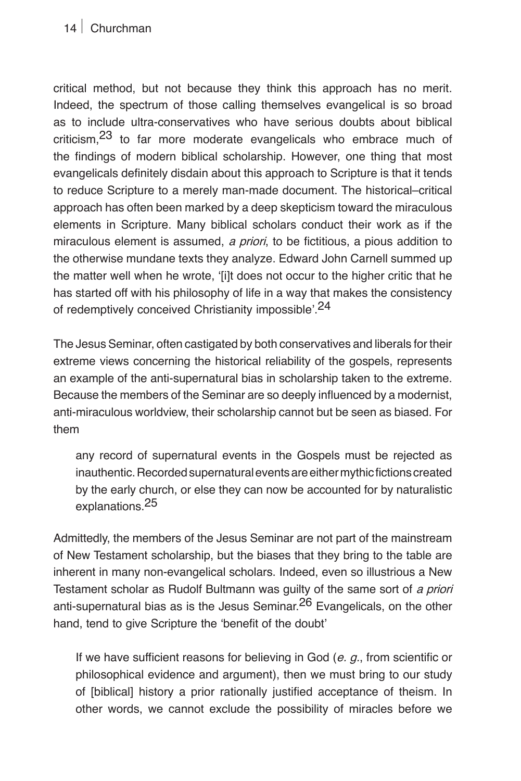## **14** Churchman

critical method, but not because they think this approach has no merit. Indeed, the spectrum of those calling themselves evangelical is so broad as to include ultra-conservatives who have serious doubts about biblical criticism,23 to far more moderate evangelicals who embrace much of the findings of modern biblical scholarship. However, one thing that most evangelicals definitely disdain about this approach to Scripture is that it tends to reduce Scripture to a merely man-made document. The historical–critical approach has often been marked by a deep skepticism toward the miraculous elements in Scripture. Many biblical scholars conduct their work as if the miraculous element is assumed, *a priori*, to be fictitious, a pious addition to the otherwise mundane texts they analyze. Edward John Carnell summed up the matter well when he wrote, ʻ[i]t does not occur to the higher critic that he has started off with his philosophy of life in a way that makes the consistency of redemptively conceived Christianity impossible'.24

The Jesus Seminar, often castigated by both conservatives and liberals for their extreme views concerning the historical reliability of the gospels, represents an example of the anti-supernatural bias in scholarship taken to the extreme. Because the members of the Seminar are so deeply influenced by a modernist, anti-miraculous worldview, their scholarship cannot but be seen as biased. For them

any record of supernatural events in the Gospels must be rejected as inauthentic. Recorded supernatural events are either mythic fictions created by the early church, or else they can now be accounted for by naturalistic explanations.25

Admittedly, the members of the Jesus Seminar are not part of the mainstream of New Testament scholarship, but the biases that they bring to the table are inherent in many non-evangelical scholars. Indeed, even so illustrious a New Testament scholar as Rudolf Bultmann was guilty of the same sort of *a priori* anti-supernatural bias as is the Jesus Seminar.<sup>26</sup> Evangelicals, on the other hand, tend to give Scripture the ʻbenefit of the doubt'

If we have sufficient reasons for believing in God (*e. g.,* from scientific or philosophical evidence and argument), then we must bring to our study of [biblical] history a prior rationally justified acceptance of theism. In other words, we cannot exclude the possibility of miracles before we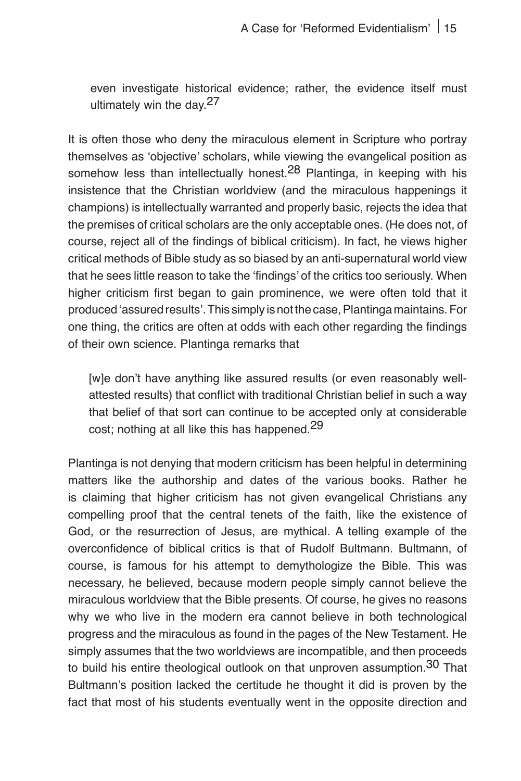even investigate historical evidence; rather, the evidence itself must ultimately win the day.<sup>27</sup>

It is often those who deny the miraculous element in Scripture who portray themselves as ʻobjective' scholars, while viewing the evangelical position as somehow less than intellectually honest.<sup>28</sup> Plantinga, in keeping with his insistence that the Christian worldview (and the miraculous happenings it champions) is intellectually warranted and properly basic, rejects the idea that the premises of critical scholars are the only acceptable ones. (He does not, of course, reject all of the findings of biblical criticism). In fact, he views higher critical methods of Bible study as so biased by an anti-supernatural world view that he sees little reason to take the ʻfindings' of the critics too seriously. When higher criticism first began to gain prominence, we were often told that it produced ʻassured results'. This simply is not the case, Plantinga maintains. For one thing, the critics are often at odds with each other regarding the findings of their own science. Plantinga remarks that

[w]e don't have anything like assured results (or even reasonably wellattested results) that conflict with traditional Christian belief in such a way that belief of that sort can continue to be accepted only at considerable cost; nothing at all like this has happened.<sup>29</sup>

Plantinga is not denying that modern criticism has been helpful in determining matters like the authorship and dates of the various books. Rather he is claiming that higher criticism has not given evangelical Christians any compelling proof that the central tenets of the faith, like the existence of God, or the resurrection of Jesus, are mythical. A telling example of the overconfidence of biblical critics is that of Rudolf Bultmann. Bultmann, of course, is famous for his attempt to demythologize the Bible. This was necessary, he believed, because modern people simply cannot believe the miraculous worldview that the Bible presents. Of course, he gives no reasons why we who live in the modern era cannot believe in both technological progress and the miraculous as found in the pages of the New Testament. He simply assumes that the two worldviews are incompatible, and then proceeds to build his entire theological outlook on that unproven assumption.<sup>30</sup> That Bultmann's position lacked the certitude he thought it did is proven by the fact that most of his students eventually went in the opposite direction and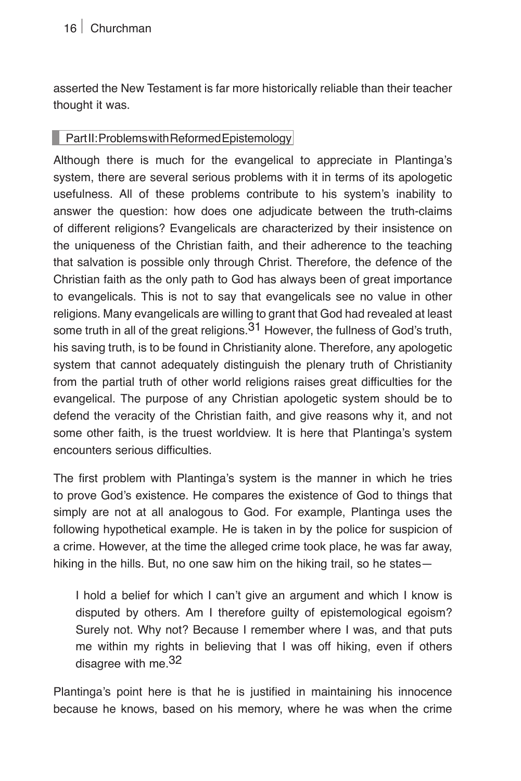asserted the New Testament is far more historically reliable than their teacher thought it was.

#### Part II: Problems with Reformed Epistemology

Although there is much for the evangelical to appreciate in Plantinga's system, there are several serious problems with it in terms of its apologetic usefulness. All of these problems contribute to his system's inability to answer the question: how does one adjudicate between the truth-claims of different religions? Evangelicals are characterized by their insistence on the uniqueness of the Christian faith, and their adherence to the teaching that salvation is possible only through Christ. Therefore, the defence of the Christian faith as the only path to God has always been of great importance to evangelicals. This is not to say that evangelicals see no value in other religions. Many evangelicals are willing to grant that God had revealed at least some truth in all of the great religions. $31$  However, the fullness of God's truth, his saving truth, is to be found in Christianity alone. Therefore, any apologetic system that cannot adequately distinguish the plenary truth of Christianity from the partial truth of other world religions raises great difficulties for the evangelical. The purpose of any Christian apologetic system should be to defend the veracity of the Christian faith, and give reasons why it, and not some other faith, is the truest worldview. It is here that Plantinga's system encounters serious difficulties.

The first problem with Plantinga's system is the manner in which he tries to prove God's existence. He compares the existence of God to things that simply are not at all analogous to God. For example, Plantinga uses the following hypothetical example. He is taken in by the police for suspicion of a crime. However, at the time the alleged crime took place, he was far away, hiking in the hills. But, no one saw him on the hiking trail, so he states—

I hold a belief for which I can't give an argument and which I know is disputed by others. Am I therefore guilty of epistemological egoism? Surely not. Why not? Because I remember where I was, and that puts me within my rights in believing that I was off hiking, even if others disagree with me.<sup>32</sup>

Plantinga's point here is that he is justified in maintaining his innocence because he knows, based on his memory, where he was when the crime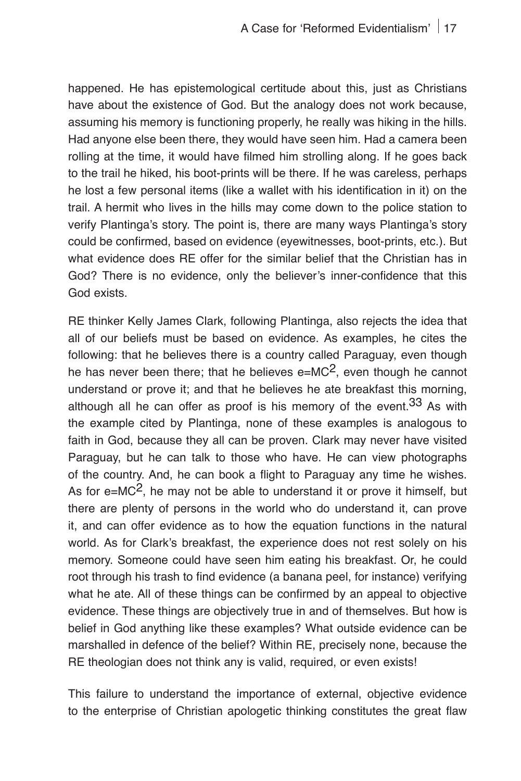happened. He has epistemological certitude about this, just as Christians have about the existence of God. But the analogy does not work because, assuming his memory is functioning properly, he really was hiking in the hills. Had anyone else been there, they would have seen him. Had a camera been rolling at the time, it would have filmed him strolling along. If he goes back to the trail he hiked, his boot-prints will be there. If he was careless, perhaps he lost a few personal items (like a wallet with his identification in it) on the trail. A hermit who lives in the hills may come down to the police station to verify Plantinga's story. The point is, there are many ways Plantinga's story could be confirmed, based on evidence (eyewitnesses, boot-prints, etc.). But what evidence does RE offer for the similar belief that the Christian has in God? There is no evidence, only the believer's inner-confidence that this God exists.

RE thinker Kelly James Clark, following Plantinga, also rejects the idea that all of our beliefs must be based on evidence. As examples, he cites the following: that he believes there is a country called Paraguay, even though he has never been there; that he believes  $e=MC^2$ , even though he cannot understand or prove it; and that he believes he ate breakfast this morning, although all he can offer as proof is his memory of the event.  $33$  As with the example cited by Plantinga, none of these examples is analogous to faith in God, because they all can be proven. Clark may never have visited Paraguay, but he can talk to those who have. He can view photographs of the country. And, he can book a flight to Paraguay any time he wishes. As for  $e=MC^2$ , he may not be able to understand it or prove it himself, but there are plenty of persons in the world who do understand it, can prove it, and can offer evidence as to how the equation functions in the natural world. As for Clark's breakfast, the experience does not rest solely on his memory. Someone could have seen him eating his breakfast. Or, he could root through his trash to find evidence (a banana peel, for instance) verifying what he ate. All of these things can be confirmed by an appeal to objective evidence. These things are objectively true in and of themselves. But how is belief in God anything like these examples? What outside evidence can be marshalled in defence of the belief? Within RE, precisely none, because the RE theologian does not think any is valid, required, or even exists!

This failure to understand the importance of external, objective evidence to the enterprise of Christian apologetic thinking constitutes the great flaw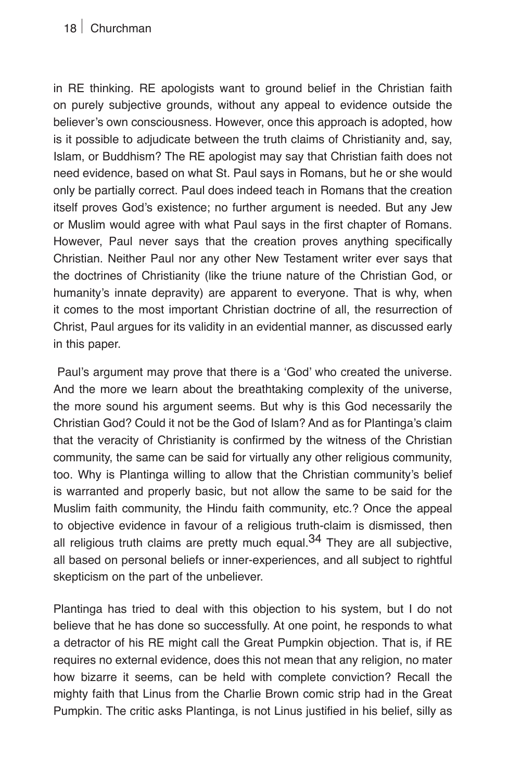### **18** Churchman

in RE thinking. RE apologists want to ground belief in the Christian faith on purely subjective grounds, without any appeal to evidence outside the believer's own consciousness. However, once this approach is adopted, how is it possible to adjudicate between the truth claims of Christianity and, say, Islam, or Buddhism? The RE apologist may say that Christian faith does not need evidence, based on what St. Paul says in Romans, but he or she would only be partially correct. Paul does indeed teach in Romans that the creation itself proves God's existence; no further argument is needed. But any Jew or Muslim would agree with what Paul says in the first chapter of Romans. However, Paul never says that the creation proves anything specifically Christian. Neither Paul nor any other New Testament writer ever says that the doctrines of Christianity (like the triune nature of the Christian God, or humanity's innate depravity) are apparent to everyone. That is why, when it comes to the most important Christian doctrine of all, the resurrection of Christ, Paul argues for its validity in an evidential manner, as discussed early in this paper.

 Paul's argument may prove that there is a ʻGod' who created the universe. And the more we learn about the breathtaking complexity of the universe, the more sound his argument seems. But why is this God necessarily the Christian God? Could it not be the God of Islam? And as for Plantinga's claim that the veracity of Christianity is confirmed by the witness of the Christian community, the same can be said for virtually any other religious community, too. Why is Plantinga willing to allow that the Christian community's belief is warranted and properly basic, but not allow the same to be said for the Muslim faith community, the Hindu faith community, etc.? Once the appeal to objective evidence in favour of a religious truth-claim is dismissed, then all religious truth claims are pretty much equal. $34$  They are all subjective, all based on personal beliefs or inner-experiences, and all subject to rightful skepticism on the part of the unbeliever.

Plantinga has tried to deal with this objection to his system, but I do not believe that he has done so successfully. At one point, he responds to what a detractor of his RE might call the Great Pumpkin objection. That is, if RE requires no external evidence, does this not mean that any religion, no mater how bizarre it seems, can be held with complete conviction? Recall the mighty faith that Linus from the Charlie Brown comic strip had in the Great Pumpkin. The critic asks Plantinga, is not Linus justified in his belief, silly as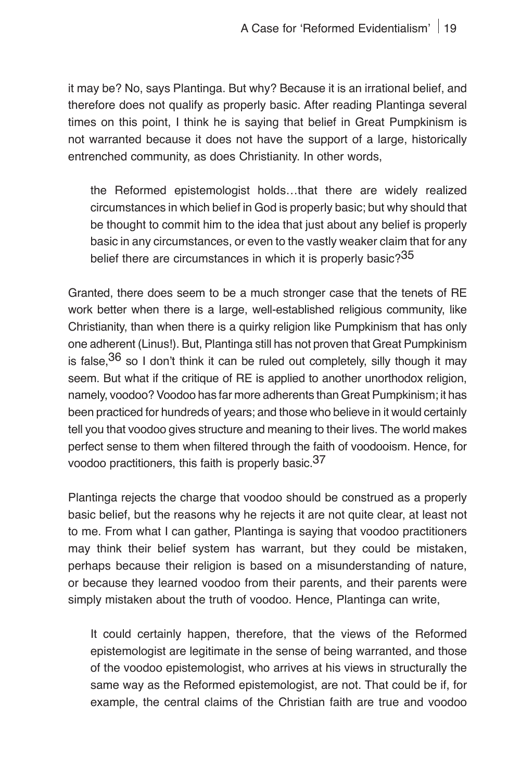it may be? No, says Plantinga. But why? Because it is an irrational belief, and therefore does not qualify as properly basic. After reading Plantinga several times on this point, I think he is saying that belief in Great Pumpkinism is not warranted because it does not have the support of a large, historically entrenched community, as does Christianity. In other words,

the Reformed epistemologist holds…that there are widely realized circumstances in which belief in God is properly basic; but why should that be thought to commit him to the idea that just about any belief is properly basic in any circumstances, or even to the vastly weaker claim that for any belief there are circumstances in which it is properly basic?<sup>35</sup>

Granted, there does seem to be a much stronger case that the tenets of RE work better when there is a large, well-established religious community, like Christianity, than when there is a quirky religion like Pumpkinism that has only one adherent (Linus!). But, Plantinga still has not proven that Great Pumpkinism is false,  $36$  so I don't think it can be ruled out completely, silly though it may seem. But what if the critique of RE is applied to another unorthodox religion, namely, voodoo? Voodoo has far more adherents than Great Pumpkinism; it has been practiced for hundreds of years; and those who believe in it would certainly tell you that voodoo gives structure and meaning to their lives. The world makes perfect sense to them when filtered through the faith of voodooism. Hence, for voodoo practitioners, this faith is properly basic.37

Plantinga rejects the charge that voodoo should be construed as a properly basic belief, but the reasons why he rejects it are not quite clear, at least not to me. From what I can gather, Plantinga is saying that voodoo practitioners may think their belief system has warrant, but they could be mistaken, perhaps because their religion is based on a misunderstanding of nature, or because they learned voodoo from their parents, and their parents were simply mistaken about the truth of voodoo. Hence, Plantinga can write,

It could certainly happen, therefore, that the views of the Reformed epistemologist are legitimate in the sense of being warranted, and those of the voodoo epistemologist, who arrives at his views in structurally the same way as the Reformed epistemologist, are not. That could be if, for example, the central claims of the Christian faith are true and voodoo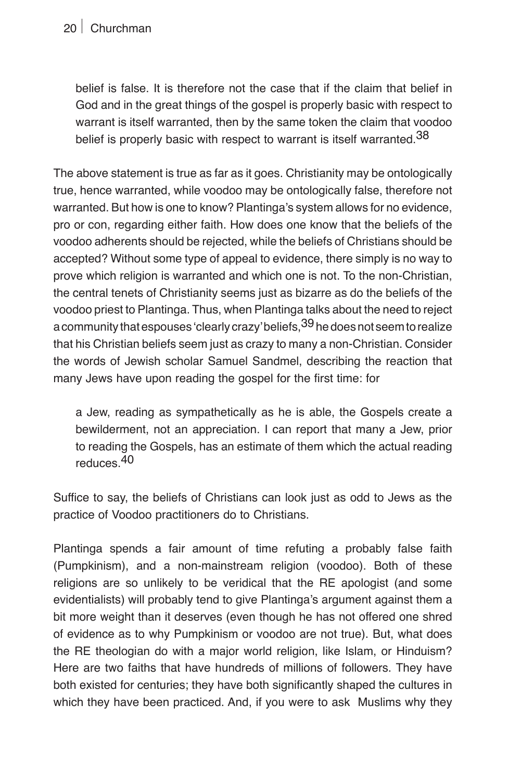belief is false. It is therefore not the case that if the claim that belief in God and in the great things of the gospel is properly basic with respect to warrant is itself warranted, then by the same token the claim that voodoo belief is properly basic with respect to warrant is itself warranted.<sup>38</sup>

The above statement is true as far as it goes. Christianity may be ontologically true, hence warranted, while voodoo may be ontologically false, therefore not warranted. But how is one to know? Plantinga's system allows for no evidence, pro or con, regarding either faith. How does one know that the beliefs of the voodoo adherents should be rejected, while the beliefs of Christians should be accepted? Without some type of appeal to evidence, there simply is no way to prove which religion is warranted and which one is not. To the non-Christian, the central tenets of Christianity seems just as bizarre as do the beliefs of the voodoo priest to Plantinga. Thus, when Plantinga talks about the need to reject a community that espouses 'clearly crazy' beliefs, <sup>39</sup> he does not seem to realize that his Christian beliefs seem just as crazy to many a non-Christian. Consider the words of Jewish scholar Samuel Sandmel, describing the reaction that many Jews have upon reading the gospel for the first time: for

a Jew, reading as sympathetically as he is able, the Gospels create a bewilderment, not an appreciation. I can report that many a Jew, prior to reading the Gospels, has an estimate of them which the actual reading reduces.40

Suffice to say, the beliefs of Christians can look just as odd to Jews as the practice of Voodoo practitioners do to Christians.

Plantinga spends a fair amount of time refuting a probably false faith (Pumpkinism), and a non-mainstream religion (voodoo). Both of these religions are so unlikely to be veridical that the RE apologist (and some evidentialists) will probably tend to give Plantinga's argument against them a bit more weight than it deserves (even though he has not offered one shred of evidence as to why Pumpkinism or voodoo are not true). But, what does the RE theologian do with a major world religion, like Islam, or Hinduism? Here are two faiths that have hundreds of millions of followers. They have both existed for centuries; they have both significantly shaped the cultures in which they have been practiced. And, if you were to ask Muslims why they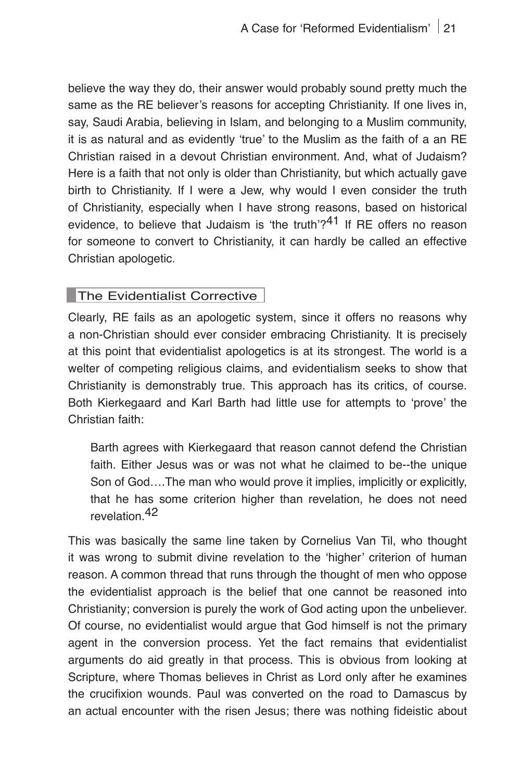believe the way they do, their answer would probably sound pretty much the same as the RE believer's reasons for accepting Christianity. If one lives in, say, Saudi Arabia, believing in Islam, and belonging to a Muslim community, it is as natural and as evidently ʻtrue' to the Muslim as the faith of a an RE Christian raised in a devout Christian environment. And, what of Judaism? Here is a faith that not only is older than Christianity, but which actually gave birth to Christianity. If I were a Jew, why would I even consider the truth of Christianity, especially when I have strong reasons, based on historical evidence, to believe that Judaism is 'the truth'? $41$  If RE offers no reason for someone to convert to Christianity, it can hardly be called an effective Christian apologetic.

#### **The Evidentialist Corrective**

Clearly, RE fails as an apologetic system, since it offers no reasons why a non-Christian should ever consider embracing Christianity. It is precisely at this point that evidentialist apologetics is at its strongest. The world is a welter of competing religious claims, and evidentialism seeks to show that Christianity is demonstrably true. This approach has its critics, of course. Both Kierkegaard and Karl Barth had little use for attempts to ʻprove' the Christian faith:

Barth agrees with Kierkegaard that reason cannot defend the Christian faith. Either Jesus was or was not what he claimed to be--the unique Son of God….The man who would prove it implies, implicitly or explicitly, that he has some criterion higher than revelation, he does not need revelation.42

This was basically the same line taken by Cornelius Van Til, who thought it was wrong to submit divine revelation to the ʻhigher' criterion of human reason. A common thread that runs through the thought of men who oppose the evidentialist approach is the belief that one cannot be reasoned into Christianity; conversion is purely the work of God acting upon the unbeliever. Of course, no evidentialist would argue that God himself is not the primary agent in the conversion process. Yet the fact remains that evidentialist arguments do aid greatly in that process. This is obvious from looking at Scripture, where Thomas believes in Christ as Lord only after he examines the crucifixion wounds. Paul was converted on the road to Damascus by an actual encounter with the risen Jesus; there was nothing fideistic about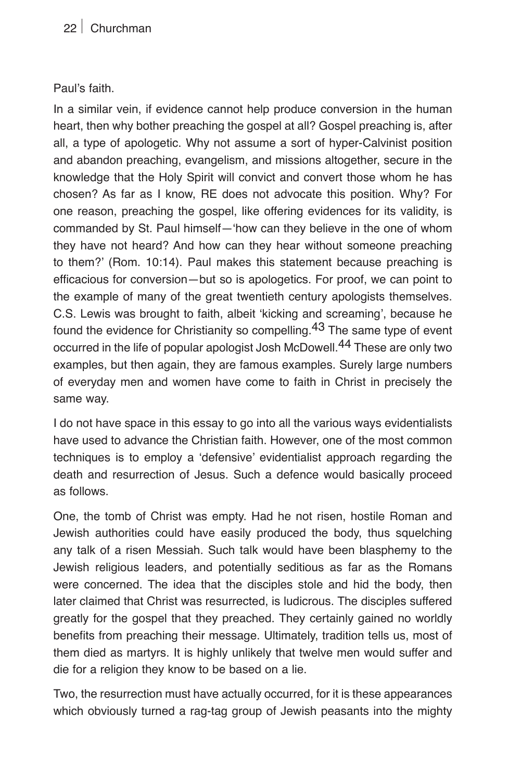#### Paul's faith.

In a similar vein, if evidence cannot help produce conversion in the human heart, then why bother preaching the gospel at all? Gospel preaching is, after all, a type of apologetic. Why not assume a sort of hyper-Calvinist position and abandon preaching, evangelism, and missions altogether, secure in the knowledge that the Holy Spirit will convict and convert those whom he has chosen? As far as I know, RE does not advocate this position. Why? For one reason, preaching the gospel, like offering evidences for its validity, is commanded by St. Paul himself—ʻhow can they believe in the one of whom they have not heard? And how can they hear without someone preaching to them?' (Rom. 10:14). Paul makes this statement because preaching is efficacious for conversion—but so is apologetics. For proof, we can point to the example of many of the great twentieth century apologists themselves. C.S. Lewis was brought to faith, albeit ʻkicking and screaming', because he found the evidence for Christianity so compelling.<sup>43</sup> The same type of event occurred in the life of popular apologist Josh McDowell.<sup>44</sup> These are only two examples, but then again, they are famous examples. Surely large numbers of everyday men and women have come to faith in Christ in precisely the same way.

I do not have space in this essay to go into all the various ways evidentialists have used to advance the Christian faith. However, one of the most common techniques is to employ a ʻdefensive' evidentialist approach regarding the death and resurrection of Jesus. Such a defence would basically proceed as follows.

One, the tomb of Christ was empty. Had he not risen, hostile Roman and Jewish authorities could have easily produced the body, thus squelching any talk of a risen Messiah. Such talk would have been blasphemy to the Jewish religious leaders, and potentially seditious as far as the Romans were concerned. The idea that the disciples stole and hid the body, then later claimed that Christ was resurrected, is ludicrous. The disciples suffered greatly for the gospel that they preached. They certainly gained no worldly benefits from preaching their message. Ultimately, tradition tells us, most of them died as martyrs. It is highly unlikely that twelve men would suffer and die for a religion they know to be based on a lie.

Two, the resurrection must have actually occurred, for it is these appearances which obviously turned a rag-tag group of Jewish peasants into the mighty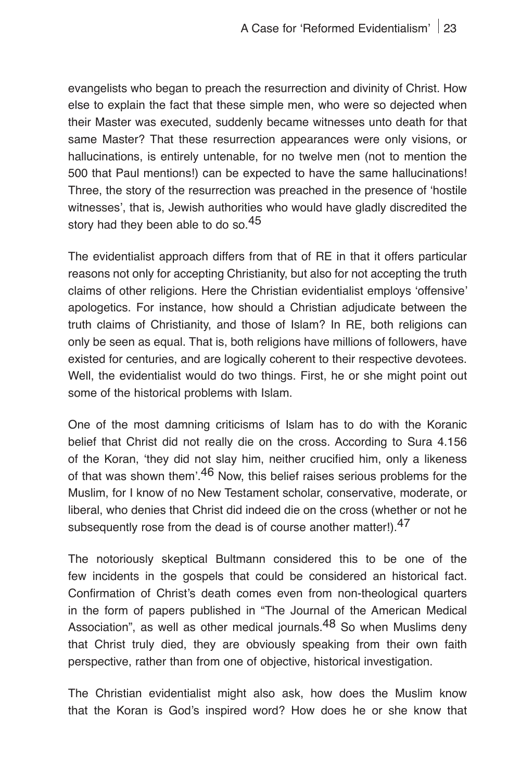evangelists who began to preach the resurrection and divinity of Christ. How else to explain the fact that these simple men, who were so dejected when their Master was executed, suddenly became witnesses unto death for that same Master? That these resurrection appearances were only visions, or hallucinations, is entirely untenable, for no twelve men (not to mention the 500 that Paul mentions!) can be expected to have the same hallucinations! Three, the story of the resurrection was preached in the presence of ʻhostile witnesses', that is, Jewish authorities who would have gladly discredited the story had they been able to do so.<sup>45</sup>

The evidentialist approach differs from that of RE in that it offers particular reasons not only for accepting Christianity, but also for not accepting the truth claims of other religions. Here the Christian evidentialist employs ʻoffensive' apologetics. For instance, how should a Christian adjudicate between the truth claims of Christianity, and those of Islam? In RE, both religions can only be seen as equal. That is, both religions have millions of followers, have existed for centuries, and are logically coherent to their respective devotees. Well, the evidentialist would do two things. First, he or she might point out some of the historical problems with Islam.

One of the most damning criticisms of Islam has to do with the Koranic belief that Christ did not really die on the cross. According to Sura 4.156 of the Koran, ʻthey did not slay him, neither crucified him, only a likeness of that was shown them'.<sup>46</sup> Now, this belief raises serious problems for the Muslim, for I know of no New Testament scholar, conservative, moderate, or liberal, who denies that Christ did indeed die on the cross (whether or not he subsequently rose from the dead is of course another matter!).<sup>47</sup>

The notoriously skeptical Bultmann considered this to be one of the few incidents in the gospels that could be considered an historical fact. Confirmation of Christ's death comes even from non-theological quarters in the form of papers published in "The Journal of the American Medical Association", as well as other medical journals.<sup>48</sup> So when Muslims deny that Christ truly died, they are obviously speaking from their own faith perspective, rather than from one of objective, historical investigation.

The Christian evidentialist might also ask, how does the Muslim know that the Koran is God's inspired word? How does he or she know that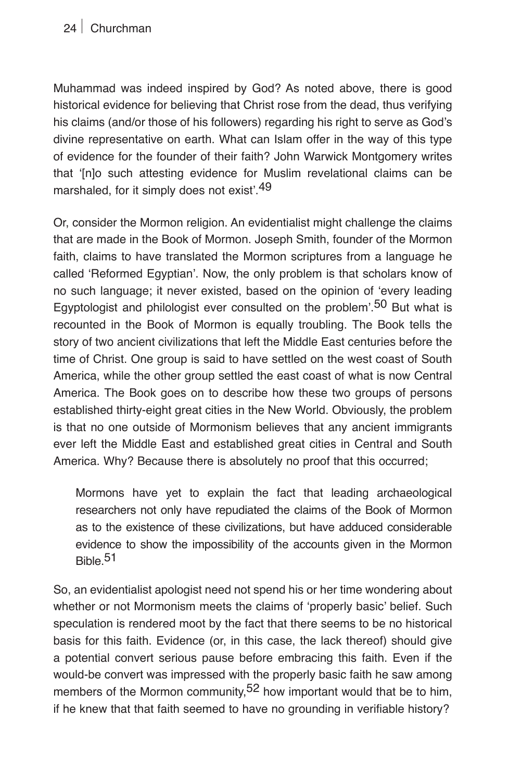Muhammad was indeed inspired by God? As noted above, there is good historical evidence for believing that Christ rose from the dead, thus verifying his claims (and/or those of his followers) regarding his right to serve as God's divine representative on earth. What can Islam offer in the way of this type of evidence for the founder of their faith? John Warwick Montgomery writes that ʻ[n]o such attesting evidence for Muslim revelational claims can be marshaled, for it simply does not exist<sup>'49</sup>

Or, consider the Mormon religion. An evidentialist might challenge the claims that are made in the Book of Mormon. Joseph Smith, founder of the Mormon faith, claims to have translated the Mormon scriptures from a language he called ʻReformed Egyptian'. Now, the only problem is that scholars know of no such language; it never existed, based on the opinion of ʻevery leading Egyptologist and philologist ever consulted on the problem<sup>'.50</sup> But what is recounted in the Book of Mormon is equally troubling. The Book tells the story of two ancient civilizations that left the Middle East centuries before the time of Christ. One group is said to have settled on the west coast of South America, while the other group settled the east coast of what is now Central America. The Book goes on to describe how these two groups of persons established thirty-eight great cities in the New World. Obviously, the problem is that no one outside of Mormonism believes that any ancient immigrants ever left the Middle East and established great cities in Central and South America. Why? Because there is absolutely no proof that this occurred;

Mormons have yet to explain the fact that leading archaeological researchers not only have repudiated the claims of the Book of Mormon as to the existence of these civilizations, but have adduced considerable evidence to show the impossibility of the accounts given in the Mormon Bible.51

So, an evidentialist apologist need not spend his or her time wondering about whether or not Mormonism meets the claims of ʻproperly basic' belief. Such speculation is rendered moot by the fact that there seems to be no historical basis for this faith. Evidence (or, in this case, the lack thereof) should give a potential convert serious pause before embracing this faith. Even if the would-be convert was impressed with the properly basic faith he saw among members of the Mormon community,  $52$  how important would that be to him, if he knew that that faith seemed to have no grounding in verifiable history?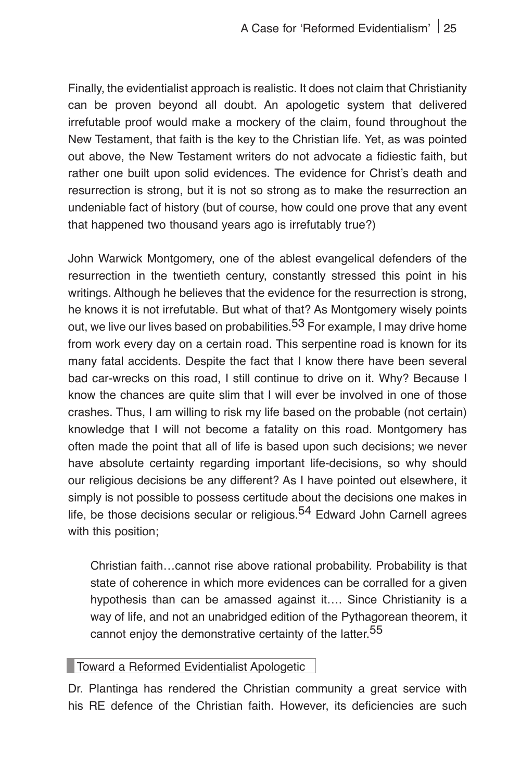Finally, the evidentialist approach is realistic. It does not claim that Christianity can be proven beyond all doubt. An apologetic system that delivered irrefutable proof would make a mockery of the claim, found throughout the New Testament, that faith is the key to the Christian life. Yet, as was pointed out above, the New Testament writers do not advocate a fidiestic faith, but rather one built upon solid evidences. The evidence for Christ's death and resurrection is strong, but it is not so strong as to make the resurrection an undeniable fact of history (but of course, how could one prove that any event that happened two thousand years ago is irrefutably true?)

John Warwick Montgomery, one of the ablest evangelical defenders of the resurrection in the twentieth century, constantly stressed this point in his writings. Although he believes that the evidence for the resurrection is strong, he knows it is not irrefutable. But what of that? As Montgomery wisely points out, we live our lives based on probabilities.<sup>53</sup> For example, I may drive home from work every day on a certain road. This serpentine road is known for its many fatal accidents. Despite the fact that I know there have been several bad car-wrecks on this road, I still continue to drive on it. Why? Because I know the chances are quite slim that I will ever be involved in one of those crashes. Thus, I am willing to risk my life based on the probable (not certain) knowledge that I will not become a fatality on this road. Montgomery has often made the point that all of life is based upon such decisions; we never have absolute certainty regarding important life-decisions, so why should our religious decisions be any different? As I have pointed out elsewhere, it simply is not possible to possess certitude about the decisions one makes in life, be those decisions secular or religious.<sup>54</sup> Edward John Carnell agrees with this position;

Christian faith…cannot rise above rational probability. Probability is that state of coherence in which more evidences can be corralled for a given hypothesis than can be amassed against it…. Since Christianity is a way of life, and not an unabridged edition of the Pythagorean theorem, it cannot enjoy the demonstrative certainty of the latter.<sup>55</sup>

#### **Toward a Reformed Evidentialist Apologetic**

Dr. Plantinga has rendered the Christian community a great service with his RE defence of the Christian faith. However, its deficiencies are such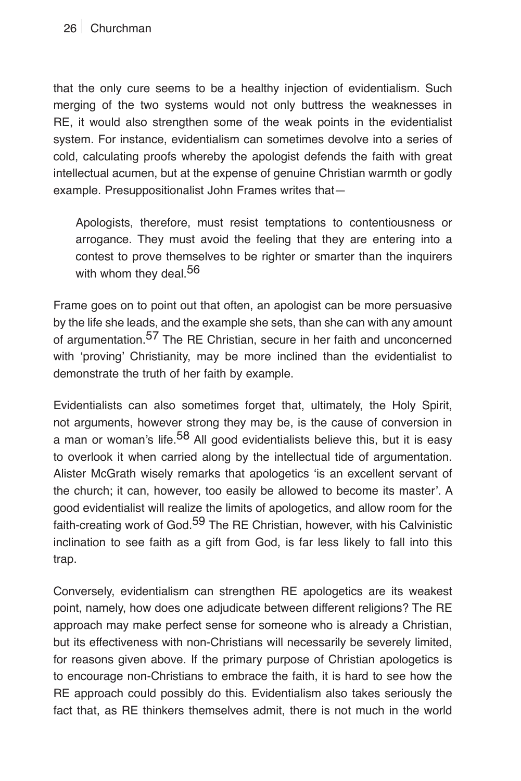that the only cure seems to be a healthy injection of evidentialism. Such merging of the two systems would not only buttress the weaknesses in RE, it would also strengthen some of the weak points in the evidentialist system. For instance, evidentialism can sometimes devolve into a series of cold, calculating proofs whereby the apologist defends the faith with great intellectual acumen, but at the expense of genuine Christian warmth or godly example. Presuppositionalist John Frames writes that—

Apologists, therefore, must resist temptations to contentiousness or arrogance. They must avoid the feeling that they are entering into a contest to prove themselves to be righter or smarter than the inquirers with whom they deal.<sup>56</sup>

Frame goes on to point out that often, an apologist can be more persuasive by the life she leads, and the example she sets, than she can with any amount of argumentation.<sup>57</sup> The RE Christian, secure in her faith and unconcerned with 'proving' Christianity, may be more inclined than the evidentialist to demonstrate the truth of her faith by example.

Evidentialists can also sometimes forget that, ultimately, the Holy Spirit, not arguments, however strong they may be, is the cause of conversion in a man or woman's life.<sup>58</sup> All good evidentialists believe this, but it is easy to overlook it when carried along by the intellectual tide of argumentation. Alister McGrath wisely remarks that apologetics ʻis an excellent servant of the church; it can, however, too easily be allowed to become its master'. A good evidentialist will realize the limits of apologetics, and allow room for the faith-creating work of God.<sup>59</sup> The RE Christian, however, with his Calvinistic inclination to see faith as a gift from God, is far less likely to fall into this trap.

Conversely, evidentialism can strengthen RE apologetics are its weakest point, namely, how does one adjudicate between different religions? The RE approach may make perfect sense for someone who is already a Christian, but its effectiveness with non-Christians will necessarily be severely limited, for reasons given above. If the primary purpose of Christian apologetics is to encourage non-Christians to embrace the faith, it is hard to see how the RE approach could possibly do this. Evidentialism also takes seriously the fact that, as RE thinkers themselves admit, there is not much in the world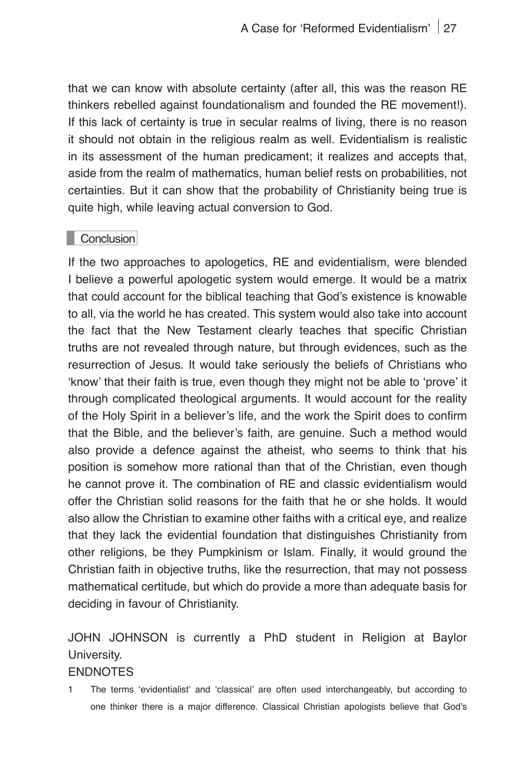that we can know with absolute certainty (after all, this was the reason RE thinkers rebelled against foundationalism and founded the RE movement!). If this lack of certainty is true in secular realms of living, there is no reason it should not obtain in the religious realm as well. Evidentialism is realistic in its assessment of the human predicament; it realizes and accepts that, aside from the realm of mathematics, human belief rests on probabilities, not certainties. But it can show that the probability of Christianity being true is quite high, while leaving actual conversion to God.

#### **Conclusion**

If the two approaches to apologetics, RE and evidentialism, were blended I believe a powerful apologetic system would emerge. It would be a matrix that could account for the biblical teaching that God's existence is knowable to all, via the world he has created. This system would also take into account the fact that the New Testament clearly teaches that specific Christian truths are not revealed through nature, but through evidences, such as the resurrection of Jesus. It would take seriously the beliefs of Christians who ʻknow' that their faith is true, even though they might not be able to ʻprove' it through complicated theological arguments. It would account for the reality of the Holy Spirit in a believer's life, and the work the Spirit does to confirm that the Bible, and the believer's faith, are genuine. Such a method would also provide a defence against the atheist, who seems to think that his position is somehow more rational than that of the Christian, even though he cannot prove it. The combination of RE and classic evidentialism would offer the Christian solid reasons for the faith that he or she holds. It would also allow the Christian to examine other faiths with a critical eye, and realize that they lack the evidential foundation that distinguishes Christianity from other religions, be they Pumpkinism or Islam. Finally, it would ground the Christian faith in objective truths, like the resurrection, that may not possess mathematical certitude, but which do provide a more than adequate basis for deciding in favour of Christianity.

## JOHN JOHNSON is currently a PhD student in Religion at Baylor University.

#### **ENDNOTES**

1 The terms ʻevidentialist' and ʻclassical' are often used interchangeably, but according to one thinker there is a major difference. Classical Christian apologists believe that God's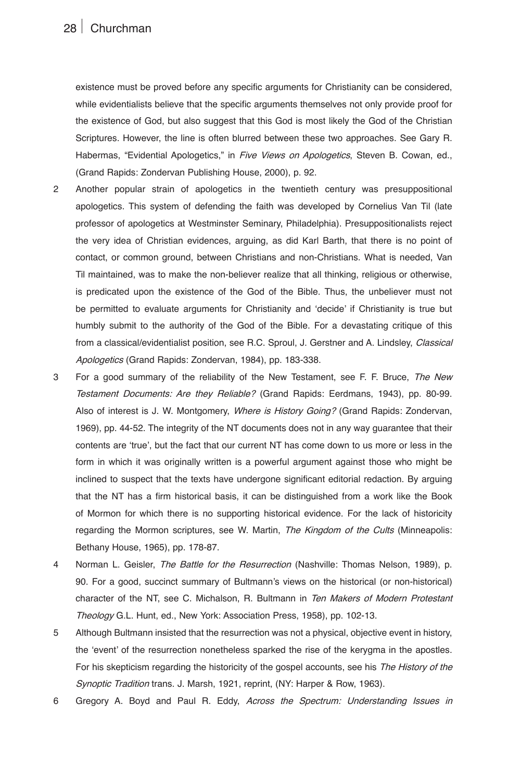existence must be proved before any specific arguments for Christianity can be considered, while evidentialists believe that the specific arguments themselves not only provide proof for the existence of God, but also suggest that this God is most likely the God of the Christian Scriptures. However, the line is often blurred between these two approaches. See Gary R. Habermas, "Evidential Apologetics," in *Five Views on Apologetics,* Steven B. Cowan, ed., (Grand Rapids: Zondervan Publishing House, 2000), p. 92.

- 2 Another popular strain of apologetics in the twentieth century was presuppositional apologetics. This system of defending the faith was developed by Cornelius Van Til (late professor of apologetics at Westminster Seminary, Philadelphia). Presuppositionalists reject the very idea of Christian evidences, arguing, as did Karl Barth, that there is no point of contact, or common ground, between Christians and non-Christians. What is needed, Van Til maintained, was to make the non-believer realize that all thinking, religious or otherwise, is predicated upon the existence of the God of the Bible. Thus, the unbeliever must not be permitted to evaluate arguments for Christianity and ʻdecide' if Christianity is true but humbly submit to the authority of the God of the Bible. For a devastating critique of this from a classical/evidentialist position, see R.C. Sproul, J. Gerstner and A. Lindsley, *Classical Apologetics* (Grand Rapids: Zondervan, 1984), pp. 183-338.
- 3 For a good summary of the reliability of the New Testament, see F. F. Bruce, *The New Testament Documents: Are they Reliable?* (Grand Rapids: Eerdmans, 1943), pp. 80-99. Also of interest is J. W. Montgomery, *Where is History Going?* (Grand Rapids: Zondervan, 1969), pp. 44-52. The integrity of the NT documents does not in any way guarantee that their contents are ʻtrue', but the fact that our current NT has come down to us more or less in the form in which it was originally written is a powerful argument against those who might be inclined to suspect that the texts have undergone significant editorial redaction. By arguing that the NT has a firm historical basis, it can be distinguished from a work like the Book of Mormon for which there is no supporting historical evidence. For the lack of historicity regarding the Mormon scriptures, see W. Martin, *The Kingdom of the Cults* (Minneapolis: Bethany House, 1965), pp. 178-87.
- 4 Norman L. Geisler, *The Battle for the Resurrection* (Nashville: Thomas Nelson, 1989), p. 90. For a good, succinct summary of Bultmann's views on the historical (or non-historical) character of the NT, see C. Michalson, R. Bultmann in *Ten Makers of Modern Protestant Theology* G.L. Hunt, ed., New York: Association Press, 1958), pp. 102-13.
- 5 Although Bultmann insisted that the resurrection was not a physical, objective event in history, the ʻevent' of the resurrection nonetheless sparked the rise of the kerygma in the apostles. For his skepticism regarding the historicity of the gospel accounts, see his *The History of the Synoptic Tradition* trans. J. Marsh, 1921, reprint, (NY: Harper & Row, 1963).
- 6 Gregory A. Boyd and Paul R. Eddy, *Across the Spectrum: Understanding Issues in*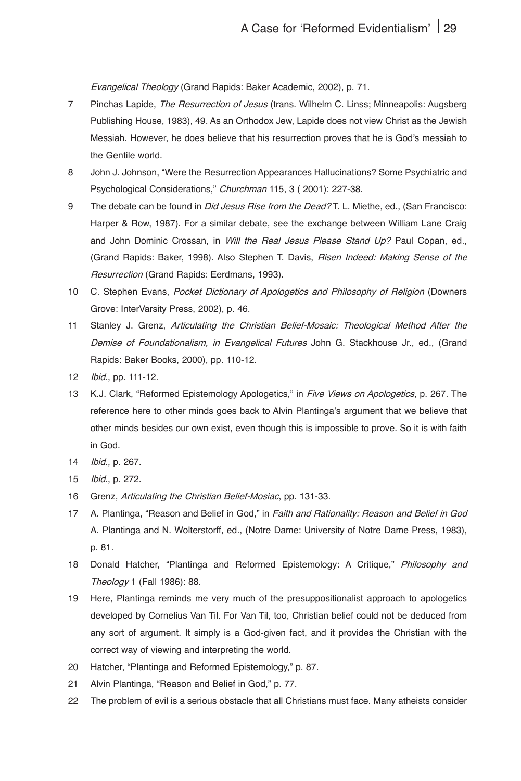*Evangelical Theology* (Grand Rapids: Baker Academic, 2002), p. 71.

- 7 Pinchas Lapide, *The Resurrection of Jesus* (trans. Wilhelm C. Linss; Minneapolis: Augsberg Publishing House, 1983), 49. As an Orthodox Jew, Lapide does not view Christ as the Jewish Messiah. However, he does believe that his resurrection proves that he is God's messiah to the Gentile world.
- 8 John J. Johnson, "Were the Resurrection Appearances Hallucinations? Some Psychiatric and Psychological Considerations," *Churchman* 115, 3 ( 2001): 227-38.
- 9 The debate can be found in *Did Jesus Rise from the Dead?* T. L. Miethe, ed., (San Francisco: Harper & Row, 1987). For a similar debate, see the exchange between William Lane Craig and John Dominic Crossan, in *Will the Real Jesus Please Stand Up?* Paul Copan, ed., (Grand Rapids: Baker, 1998). Also Stephen T. Davis, *Risen Indeed: Making Sense of the Resurrection* (Grand Rapids: Eerdmans, 1993).
- 10 C. Stephen Evans, *Pocket Dictionary of Apologetics and Philosophy of Religion* (Downers Grove: InterVarsity Press, 2002), p. 46.
- 11 Stanley J. Grenz, *Articulating the Christian Belief-Mosaic: Theological Method After the Demise of Foundationalism,* in *Evangelical Futures* John G. Stackhouse Jr., ed., (Grand Rapids: Baker Books, 2000), pp. 110-12.
- 12 *Ibid*., pp. 111-12.
- 13 K.J. Clark, "Reformed Epistemology Apologetics," in *Five Views on Apologetics*, p. 267. The reference here to other minds goes back to Alvin Plantinga's argument that we believe that other minds besides our own exist, even though this is impossible to prove. So it is with faith in God.
- 14 *Ibid*., p. 267.
- 15 *Ibid*., p. 272.
- 16 Grenz, *Articulating the Christian Belief-Mosiac*, pp. 131-33.
- 17 A. Plantinga, "Reason and Belief in God," in *Faith and Rationality: Reason and Belief in God* A. Plantinga and N. Wolterstorff, ed., (Notre Dame: University of Notre Dame Press, 1983), p. 81.
- 18 Donald Hatcher, "Plantinga and Reformed Epistemology: A Critique," *Philosophy and Theology 1* (Fall 1986): 88.
- 19 Here, Plantinga reminds me very much of the presuppositionalist approach to apologetics developed by Cornelius Van Til. For Van Til, too, Christian belief could not be deduced from any sort of argument. It simply is a God-given fact, and it provides the Christian with the correct way of viewing and interpreting the world.
- 20 Hatcher, "Plantinga and Reformed Epistemology," p. 87.
- 21 Alvin Plantinga, "Reason and Belief in God," p. 77.
- 22 The problem of evil is a serious obstacle that all Christians must face. Many atheists consider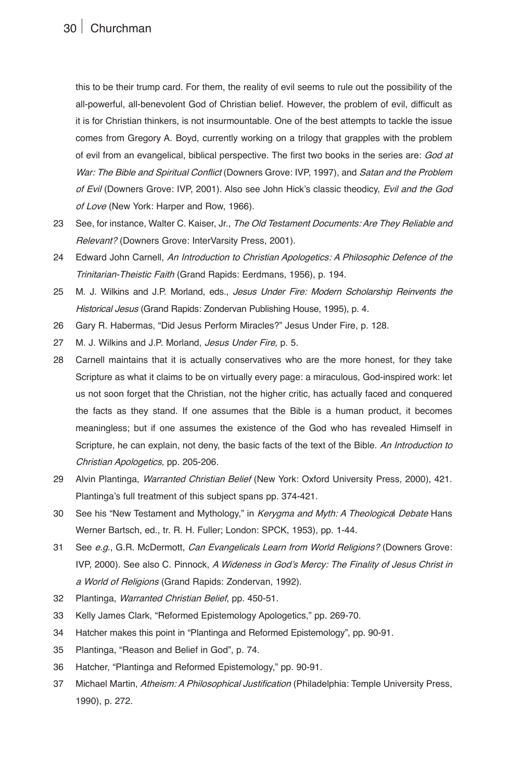this to be their trump card. For them, the reality of evil seems to rule out the possibility of the all-powerful, all-benevolent God of Christian belief. However, the problem of evil, difficult as it is for Christian thinkers, is not insurmountable. One of the best attempts to tackle the issue comes from Gregory A. Boyd, currently working on a trilogy that grapples with the problem of evil from an evangelical, biblical perspective. The first two books in the series are: *God at War: The Bible and Spiritual Conflict* (Downers Grove: IVP, 1997), and *Satan and the Problem of Evil* (Downers Grove: IVP, 2001). Also see John Hick's classic theodicy, *Evil and the God of Love* (New York: Harper and Row, 1966).

- 23 See, for instance, Walter C. Kaiser, Jr., *The Old Testament Documents: Are They Reliable and Relevant?* (Downers Grove: InterVarsity Press, 2001).
- 24 Edward John Carnell, *An Introduction to Christian Apologetics: A Philosophic Defence of the Trinitarian-Theistic Faith* (Grand Rapids: Eerdmans, 1956), p. 194.
- 25 M. J. Wilkins and J.P. Morland, eds., *Jesus Under Fire: Modern Scholarship Reinvents the Historical Jesus* (Grand Rapids: Zondervan Publishing House, 1995), p. 4.
- 26 Gary R. Habermas, "Did Jesus Perform Miracles?" *Jesus Under Fire*, p. 128.
- 27 M. J. Wilkins and J.P. Morland, *Jesus Under Fire*, p. 5.
- 28 Carnell maintains that it is actually conservatives who are the more honest, for they take Scripture as what it claims to be on virtually every page: a miraculous, God-inspired work: let us not soon forget that the Christian, not the higher critic, has actually faced and conquered the facts as they stand. If one assumes that the Bible is a human product, it becomes meaningless; but if one assumes the existence of the God who has revealed Himself in Scripture, he can explain, not deny, the basic facts of the text of the Bible. *An Introduction to Christian Apologetics*, pp. 205-206.
- 29 Alvin Plantinga, *Warranted Christian Belief* (New York: Oxford University Press, 2000), 421. Plantinga's full treatment of this subject spans pp. 374-421.
- 30 See his "New Testament and Mythology," in *Kerygma and Myth: A Theological Debate* Hans Werner Bartsch, ed., tr. R. H. Fuller; London: SPCK, 1953), pp. 1-44.
- 31 See *e.g.,* G.R. McDermott, *Can Evangelicals Learn from World Religions?* (Downers Grove: IVP, 2000). See also C. Pinnock, *A Wideness in God's Mercy: The Finality of Jesus Christ in a World of Religion*s (Grand Rapids: Zondervan, 1992).
- 32 Plantinga, *Warranted Christian Belief*, pp. 450-51.
- 33 Kelly James Clark, "Reformed Epistemology Apologetics," pp. 269-70.
- 34 Hatcher makes this point in "Plantinga and Reformed Epistemology", pp. 90-91.
- 35 Plantinga, "Reason and Belief in God", p. 74.
- 36 Hatcher, "Plantinga and Reformed Epistemology," pp. 90-91.
- 37 Michael Martin, *Atheism: A Philosophical Justification* (Philadelphia: Temple University Press, 1990), p. 272.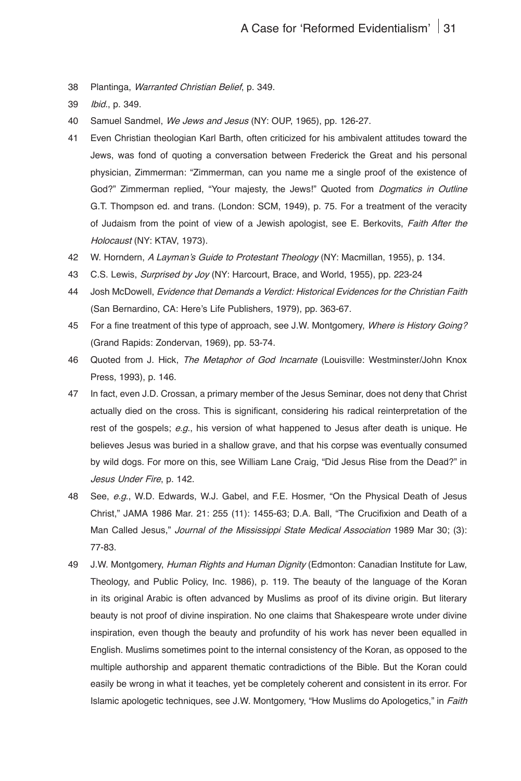38 Plantinga, *Warranted Christian Belief*, p. 349.

- 40 Samuel Sandmel, *We Jews and Jesus* (NY: OUP, 1965), pp. 126-27.
- 41 Even Christian theologian Karl Barth, often criticized for his ambivalent attitudes toward the Jews, was fond of quoting a conversation between Frederick the Great and his personal physician, Zimmerman: "Zimmerman, can you name me a single proof of the existence of God?" Zimmerman replied, "Your majesty, the Jews!" Quoted from *Dogmatics in Outline* G.T. Thompson ed. and trans. (London: SCM, 1949), p. 75. For a treatment of the veracity of Judaism from the point of view of a Jewish apologist, see E. Berkovits, *Faith After the Holocaust* (NY: KTAV, 1973).
- 42 W. Horndern, *A Layman's Guide to Protestant Theology* (NY: Macmillan, 1955), p. 134.
- 43 C.S. Lewis, *Surprised by Joy* (NY: Harcourt, Brace, and World, 1955), pp. 223-24
- 44 Josh McDowell, *Evidence that Demands a Verdict: Historical Evidences for the Christian Faith* (San Bernardino, CA: Here's Life Publishers, 1979), pp. 363-67.
- 45 For a fine treatment of this type of approach, see J.W. Montgomery, *Where is History Going?* (Grand Rapids: Zondervan, 1969), pp. 53-74.
- 46 Quoted from J. Hick, *The Metaphor of God Incarnate* (Louisville: Westminster/John Knox Press, 1993), p. 146.
- 47 In fact, even J.D. Crossan, a primary member of the Jesus Seminar, does not deny that Christ actually died on the cross. This is significant, considering his radical reinterpretation of the rest of the gospels; *e.g*., his version of what happened to Jesus after death is unique. He believes Jesus was buried in a shallow grave, and that his corpse was eventually consumed by wild dogs. For more on this, see William Lane Craig, "Did Jesus Rise from the Dead?" in *Jesus Under Fire*, p. 142.
- 48 See, *e.g.,* W.D. Edwards, W.J. Gabel, and F.E. Hosmer, "On the Physical Death of Jesus Christ," *JAMA* 1986 Mar. 21: 255 (11): 1455-63; D.A. Ball, "The Crucifixion and Death of a Man Called Jesus," *Journal of the Mississippi State Medical Association 1989* Mar 30; (3): 77-83.
- 49 J.W. Montgomery, *Human Rights and Human Dignity* (Edmonton: Canadian Institute for Law, Theology, and Public Policy, Inc. 1986), p. 119. The beauty of the language of the Koran in its original Arabic is often advanced by Muslims as proof of its divine origin. But literary beauty is not proof of divine inspiration. No one claims that Shakespeare wrote under divine inspiration, even though the beauty and profundity of his work has never been equalled in English. Muslims sometimes point to the internal consistency of the Koran, as opposed to the multiple authorship and apparent thematic contradictions of the Bible. But the Koran could easily be wrong in what it teaches, yet be completely coherent and consistent in its error. For Islamic apologetic techniques, see J.W. Montgomery, "How Muslims do Apologetics," in *Faith*

<sup>39</sup> *Ibid*., p. 349.